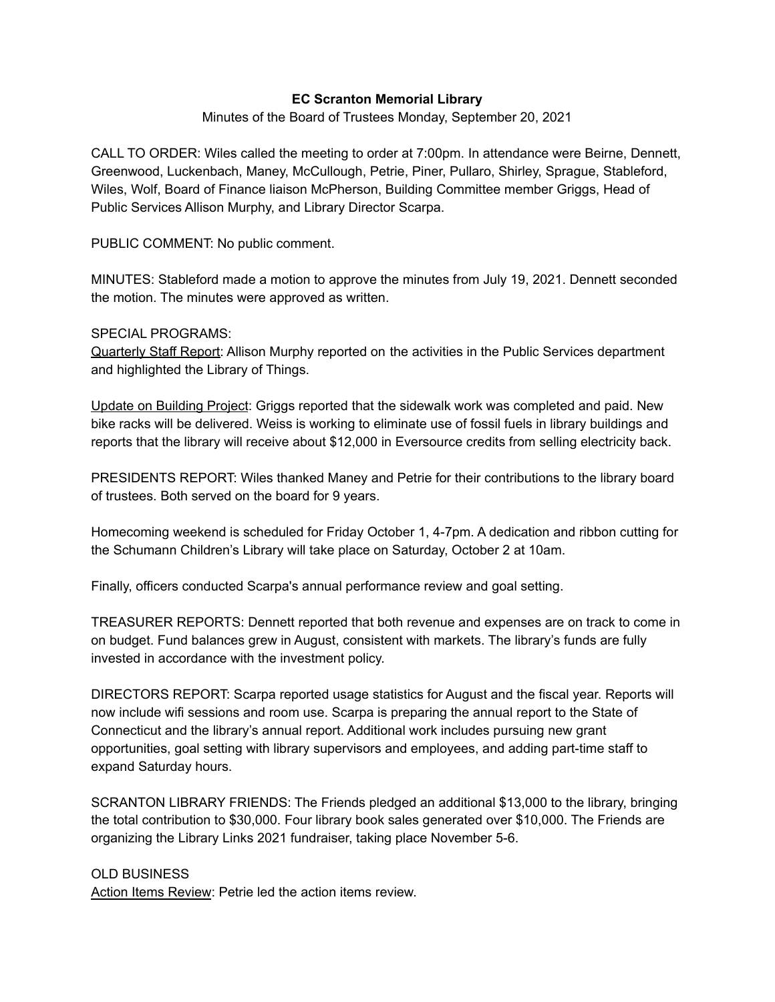## **EC Scranton Memorial Library**

Minutes of the Board of Trustees Monday, September 20, 2021

CALL TO ORDER: Wiles called the meeting to order at 7:00pm. In attendance were Beirne, Dennett, Greenwood, Luckenbach, Maney, McCullough, Petrie, Piner, Pullaro, Shirley, Sprague, Stableford, Wiles, Wolf, Board of Finance liaison McPherson, Building Committee member Griggs, Head of Public Services Allison Murphy, and Library Director Scarpa.

PUBLIC COMMENT: No public comment.

MINUTES: Stableford made a motion to approve the minutes from July 19, 2021. Dennett seconded the motion. The minutes were approved as written.

## SPECIAL PROGRAMS:

Quarterly Staff Report: Allison Murphy reported on the activities in the Public Services department and highlighted the Library of Things.

Update on Building Project: Griggs reported that the sidewalk work was completed and paid. New bike racks will be delivered. Weiss is working to eliminate use of fossil fuels in library buildings and reports that the library will receive about \$12,000 in Eversource credits from selling electricity back.

PRESIDENTS REPORT: Wiles thanked Maney and Petrie for their contributions to the library board of trustees. Both served on the board for 9 years.

Homecoming weekend is scheduled for Friday October 1, 4-7pm. A dedication and ribbon cutting for the Schumann Children's Library will take place on Saturday, October 2 at 10am.

Finally, officers conducted Scarpa's annual performance review and goal setting.

TREASURER REPORTS: Dennett reported that both revenue and expenses are on track to come in on budget. Fund balances grew in August, consistent with markets. The library's funds are fully invested in accordance with the investment policy.

DIRECTORS REPORT: Scarpa reported usage statistics for August and the fiscal year. Reports will now include wifi sessions and room use. Scarpa is preparing the annual report to the State of Connecticut and the library's annual report. Additional work includes pursuing new grant opportunities, goal setting with library supervisors and employees, and adding part-time staff to expand Saturday hours.

SCRANTON LIBRARY FRIENDS: The Friends pledged an additional \$13,000 to the library, bringing the total contribution to \$30,000. Four library book sales generated over \$10,000. The Friends are organizing the Library Links 2021 fundraiser, taking place November 5-6.

## OLD BUSINESS

Action Items Review: Petrie led the action items review.